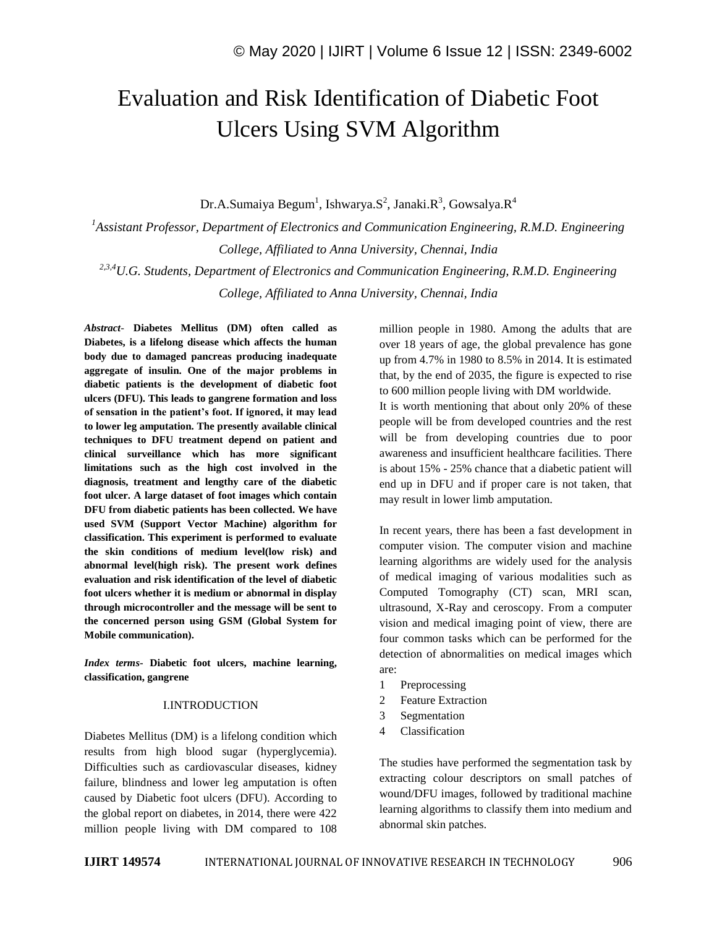# Evaluation and Risk Identification of Diabetic Foot Ulcers Using SVM Algorithm

Dr.A.Sumaiya Begum $^{\rm l}$ , Ishwarya.S $^{\rm 2}$ , Janaki.R $^{\rm 3}$ , Gowsalya.R $^{\rm 4}$ 

*<sup>1</sup>Assistant Professor, Department of Electronics and Communication Engineering, R.M.D. Engineering College, Affiliated to Anna University, Chennai, India 2,3,4U.G. Students, Department of Electronics and Communication Engineering, R.M.D. Engineering College, Affiliated to Anna University, Chennai, India*

*Abstract*- **Diabetes Mellitus (DM) often called as Diabetes, is a lifelong disease which affects the human body due to damaged pancreas producing inadequate aggregate of insulin. One of the major problems in diabetic patients is the development of diabetic foot ulcers (DFU). This leads to gangrene formation and loss of sensation in the patient's foot. If ignored, it may lead to lower leg amputation. The presently available clinical techniques to DFU treatment depend on patient and clinical surveillance which has more significant limitations such as the high cost involved in the diagnosis, treatment and lengthy care of the diabetic foot ulcer. A large dataset of foot images which contain DFU from diabetic patients has been collected. We have used SVM (Support Vector Machine) algorithm for classification. This experiment is performed to evaluate the skin conditions of medium level(low risk) and abnormal level(high risk). The present work defines evaluation and risk identification of the level of diabetic foot ulcers whether it is medium or abnormal in display through microcontroller and the message will be sent to the concerned person using GSM (Global System for Mobile communication).**

*Index terms***- Diabetic foot ulcers, machine learning, classification, gangrene**

#### I.INTRODUCTION

Diabetes Mellitus (DM) is a lifelong condition which results from high blood sugar (hyperglycemia). Difficulties such as cardiovascular diseases, kidney failure, blindness and lower leg amputation is often caused by Diabetic foot ulcers (DFU). According to the global report on diabetes, in 2014, there were 422 million people living with DM compared to 108 million people in 1980. Among the adults that are over 18 years of age, the global prevalence has gone up from 4.7% in 1980 to 8.5% in 2014. It is estimated that, by the end of 2035, the figure is expected to rise to 600 million people living with DM worldwide. It is worth mentioning that about only 20% of these people will be from developed countries and the rest will be from developing countries due to poor awareness and insufficient healthcare facilities. There is about 15% - 25% chance that a diabetic patient will end up in DFU and if proper care is not taken, that may result in lower limb amputation.

In recent years, there has been a fast development in computer vision. The computer vision and machine learning algorithms are widely used for the analysis of medical imaging of various modalities such as Computed Tomography (CT) scan, MRI scan, ultrasound, X-Ray and ceroscopy. From a computer vision and medical imaging point of view, there are four common tasks which can be performed for the detection of abnormalities on medical images which are:

- 1 Preprocessing
- 2 Feature Extraction
- 3 Segmentation
- 4 Classification

The studies have performed the segmentation task by extracting colour descriptors on small patches of wound/DFU images, followed by traditional machine learning algorithms to classify them into medium and abnormal skin patches.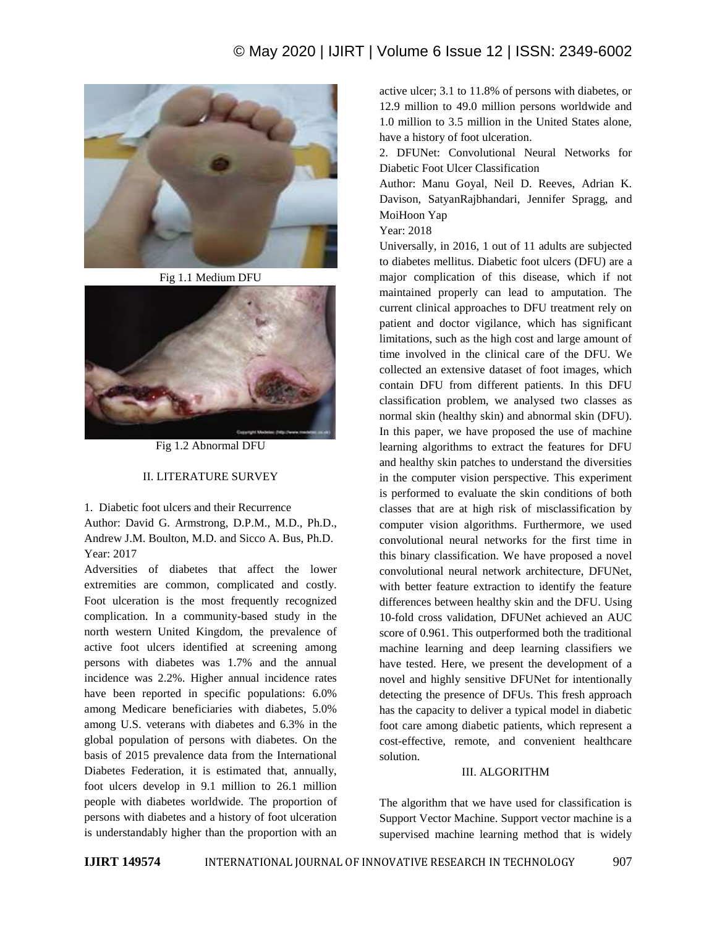# © May 2020 | IJIRT | Volume 6 Issue 12 | ISSN: 2349-6002



Fig 1.1 Medium DFU



Fig 1.2 Abnormal DFU

### II. LITERATURE SURVEY

1. Diabetic foot ulcers and their Recurrence

Author: David G. Armstrong, D.P.M., M.D., Ph.D., Andrew J.M. Boulton, M.D. and Sicco A. Bus, Ph.D. Year: 2017

Adversities of diabetes that affect the lower extremities are common, complicated and costly. Foot ulceration is the most frequently recognized complication. In a community-based study in the north western United Kingdom, the prevalence of active foot ulcers identified at screening among persons with diabetes was 1.7% and the annual incidence was 2.2%. Higher annual incidence rates have been reported in specific populations: 6.0% among Medicare beneficiaries with diabetes, 5.0% among U.S. veterans with diabetes and 6.3% in the global population of persons with diabetes. On the basis of 2015 prevalence data from the International Diabetes Federation, it is estimated that, annually, foot ulcers develop in 9.1 million to 26.1 million people with diabetes worldwide. The proportion of persons with diabetes and a history of foot ulceration is understandably higher than the proportion with an

active ulcer; 3.1 to 11.8% of persons with diabetes, or 12.9 million to 49.0 million persons worldwide and 1.0 million to 3.5 million in the United States alone, have a history of foot ulceration.

2. DFUNet: Convolutional Neural Networks for Diabetic Foot Ulcer Classification

Author: Manu Goyal, Neil D. Reeves, Adrian K. Davison, SatyanRajbhandari, Jennifer Spragg, and MoiHoon Yap

Year: 2018

Universally, in 2016, 1 out of 11 adults are subjected to diabetes mellitus. Diabetic foot ulcers (DFU) are a major complication of this disease, which if not maintained properly can lead to amputation. The current clinical approaches to DFU treatment rely on patient and doctor vigilance, which has significant limitations, such as the high cost and large amount of time involved in the clinical care of the DFU. We collected an extensive dataset of foot images, which contain DFU from different patients. In this DFU classification problem, we analysed two classes as normal skin (healthy skin) and abnormal skin (DFU). In this paper, we have proposed the use of machine learning algorithms to extract the features for DFU and healthy skin patches to understand the diversities in the computer vision perspective. This experiment is performed to evaluate the skin conditions of both classes that are at high risk of misclassification by computer vision algorithms. Furthermore, we used convolutional neural networks for the first time in this binary classification. We have proposed a novel convolutional neural network architecture, DFUNet, with better feature extraction to identify the feature differences between healthy skin and the DFU. Using 10-fold cross validation, DFUNet achieved an AUC score of 0.961. This outperformed both the traditional machine learning and deep learning classifiers we have tested. Here, we present the development of a novel and highly sensitive DFUNet for intentionally detecting the presence of DFUs. This fresh approach has the capacity to deliver a typical model in diabetic foot care among diabetic patients, which represent a cost-effective, remote, and convenient healthcare solution.

#### III. ALGORITHM

The algorithm that we have used for classification is Support Vector Machine. Support vector machine is a supervised machine learning method that is widely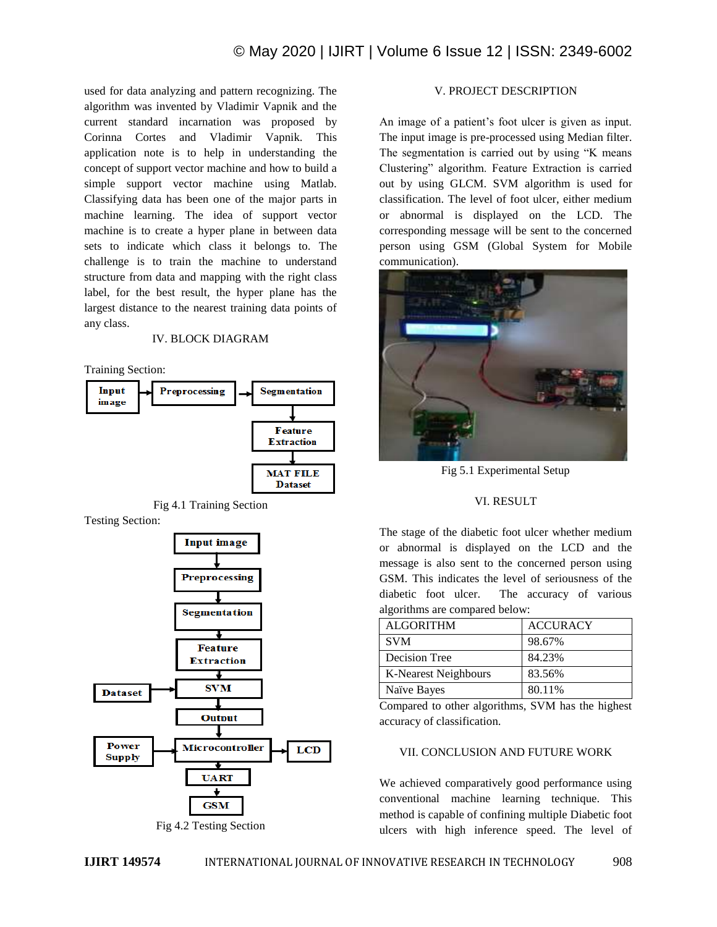used for data analyzing and pattern recognizing. The algorithm was invented by Vladimir Vapnik and the current standard incarnation was proposed by Corinna Cortes and Vladimir Vapnik. This application note is to help in understanding the concept of support vector machine and how to build a simple support vector machine using Matlab. Classifying data has been one of the major parts in machine learning. The idea of support vector machine is to create a hyper plane in between data sets to indicate which class it belongs to. The challenge is to train the machine to understand structure from data and mapping with the right class label, for the best result, the hyper plane has the largest distance to the nearest training data points of any class.

#### IV. BLOCK DIAGRAM

Training Section:





Testing Section:



Fig 4.2 Testing Section

## V. PROJECT DESCRIPTION

An image of a patient's foot ulcer is given as input. The input image is pre-processed using Median filter. The segmentation is carried out by using "K means Clustering" algorithm. Feature Extraction is carried out by using GLCM. SVM algorithm is used for classification. The level of foot ulcer, either medium or abnormal is displayed on the LCD. The corresponding message will be sent to the concerned person using GSM (Global System for Mobile communication).



Fig 5.1 Experimental Setup

#### VI. RESULT

The stage of the diabetic foot ulcer whether medium or abnormal is displayed on the LCD and the message is also sent to the concerned person using GSM. This indicates the level of seriousness of the diabetic foot ulcer. The accuracy of various algorithms are compared below:

| <b>ALGORITHM</b>     | <b>ACCURACY</b> |
|----------------------|-----------------|
| <b>SVM</b>           | 98.67%          |
| Decision Tree        | 84.23%          |
| K-Nearest Neighbours | 83.56%          |
| Naïve Bayes          | 80.11%          |

Compared to other algorithms, SVM has the highest accuracy of classification.

#### VII. CONCLUSION AND FUTURE WORK

We achieved comparatively good performance using conventional machine learning technique. This method is capable of confining multiple Diabetic foot ulcers with high inference speed. The level of